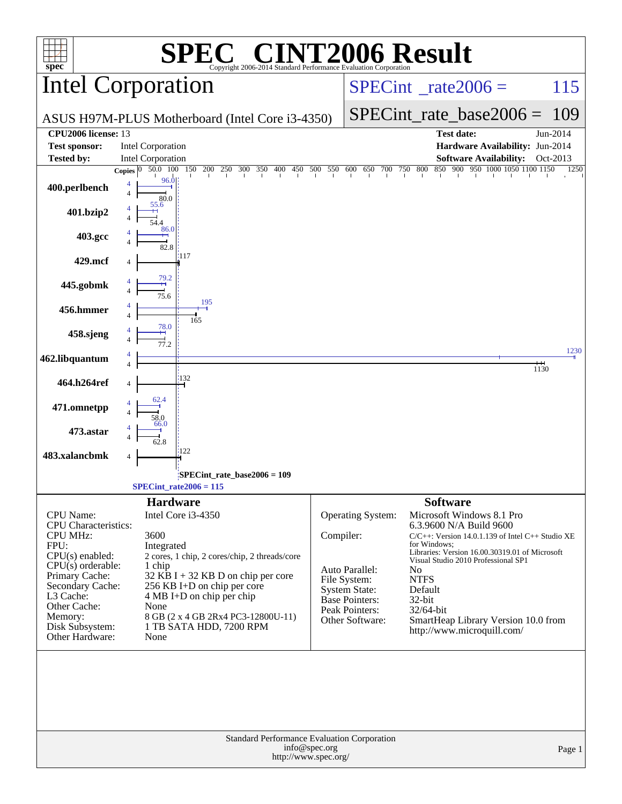| $spec^*$                                 | $\bigwedge$<br>Copyright 2006-2014 Standard Performance Evaluation Corporation                                            |              | <b>CINT2006 Result</b>                   |                        |                                                                   |          |
|------------------------------------------|---------------------------------------------------------------------------------------------------------------------------|--------------|------------------------------------------|------------------------|-------------------------------------------------------------------|----------|
|                                          | Intel Corporation                                                                                                         |              | $SPECint^{\circ}$ <sub>_rate2006</sub> = |                        |                                                                   | 115      |
|                                          | ASUS H97M-PLUS Motherboard (Intel Core i3-4350)                                                                           |              |                                          |                        | $SPECint_rate\_base2006 =$                                        | 109      |
| CPU2006 license: 13                      |                                                                                                                           |              |                                          |                        | <b>Test date:</b>                                                 | Jun-2014 |
| <b>Test sponsor:</b>                     | <b>Intel Corporation</b>                                                                                                  |              |                                          |                        | Hardware Availability: Jun-2014                                   |          |
| <b>Tested by:</b>                        | Intel Corporation                                                                                                         |              |                                          |                        | <b>Software Availability:</b>                                     | Oct-2013 |
|                                          | 200 250 300 350 400 450 500 550 600 650 700 750 800 850 900 950 1000 1050 1100 1150<br>50.0 100 150<br>0<br><b>Copies</b> |              |                                          |                        |                                                                   | 1250     |
| 400.perlbench                            | 96.0<br>$\overline{4}$<br>80.0                                                                                            |              |                                          |                        |                                                                   |          |
| 401.bzip2                                | 55.6                                                                                                                      |              |                                          |                        |                                                                   |          |
| 403.gcc                                  | 86.0<br>82.8                                                                                                              |              |                                          |                        |                                                                   |          |
| 429.mcf                                  | :117<br>79.2                                                                                                              |              |                                          |                        |                                                                   |          |
| 445.gobmk                                | 75.6<br>195                                                                                                               |              |                                          |                        |                                                                   |          |
| 456.hmmer                                | 165<br>78.0                                                                                                               |              |                                          |                        |                                                                   |          |
| 458.sjeng                                | 77.2                                                                                                                      |              |                                          |                        |                                                                   | 1230     |
| 462.libquantum                           |                                                                                                                           |              |                                          |                        |                                                                   | 1130     |
| 464.h264ref                              | :132<br>4                                                                                                                 |              |                                          |                        |                                                                   |          |
| 471.omnetpp                              | 62.4<br>58.0<br>66.0                                                                                                      |              |                                          |                        |                                                                   |          |
| 473.astar                                | 62.8<br>122                                                                                                               |              |                                          |                        |                                                                   |          |
| 483.xalancbmk                            | 4                                                                                                                         |              |                                          |                        |                                                                   |          |
|                                          | SPECint_rate_base2006 = 109                                                                                               |              |                                          |                        |                                                                   |          |
|                                          | $SPECint_rate2006 = 115$                                                                                                  |              |                                          |                        |                                                                   |          |
|                                          |                                                                                                                           |              |                                          | <b>Software</b>        |                                                                   |          |
|                                          | <b>Hardware</b>                                                                                                           |              |                                          |                        |                                                                   |          |
| CPU Name:<br><b>CPU</b> Characteristics: | Intel Core i3-4350                                                                                                        |              | Operating System:                        |                        | Microsoft Windows 8.1 Pro<br>6.3.9600 N/A Build 9600              |          |
| <b>CPU MHz:</b>                          | 3600                                                                                                                      | Compiler:    |                                          |                        | $C/C++$ : Version 14.0.1.139 of Intel $C++$ Studio XE             |          |
| FPU:                                     | Integrated                                                                                                                |              |                                          | for Windows:           | Libraries: Version 16.00.30319.01 of Microsoft                    |          |
| $CPU(s)$ enabled:<br>$CPU(s)$ orderable: | 2 cores, 1 chip, 2 cores/chip, 2 threads/core<br>1 chip                                                                   |              |                                          |                        | Visual Studio 2010 Professional SP1                               |          |
| Primary Cache:                           | $32$ KB I + 32 KB D on chip per core                                                                                      |              | Auto Parallel:                           | N <sub>o</sub>         |                                                                   |          |
| Secondary Cache:                         | 256 KB I+D on chip per core                                                                                               | File System: | <b>System State:</b>                     | <b>NTFS</b><br>Default |                                                                   |          |
| L3 Cache:                                | $4 MB I+D$ on chip per chip                                                                                               |              | Base Pointers:                           | 32-bit                 |                                                                   |          |
| Other Cache:<br>Memory:                  | None<br>8 GB (2 x 4 GB 2Rx4 PC3-12800U-11)                                                                                |              | Peak Pointers:                           | 32/64-bit              |                                                                   |          |
| Disk Subsystem:                          | 1 TB SATA HDD, 7200 RPM                                                                                                   |              | Other Software:                          |                        | SmartHeap Library Version 10.0 from<br>http://www.microquill.com/ |          |
| Other Hardware:                          | None                                                                                                                      |              |                                          |                        |                                                                   |          |
|                                          | Standard Performance Evaluation Corporation                                                                               |              |                                          |                        |                                                                   |          |
|                                          | info@spec.org                                                                                                             |              |                                          |                        |                                                                   | Page 1   |
|                                          | http://www.spec.org/                                                                                                      |              |                                          |                        |                                                                   |          |
|                                          |                                                                                                                           |              |                                          |                        |                                                                   |          |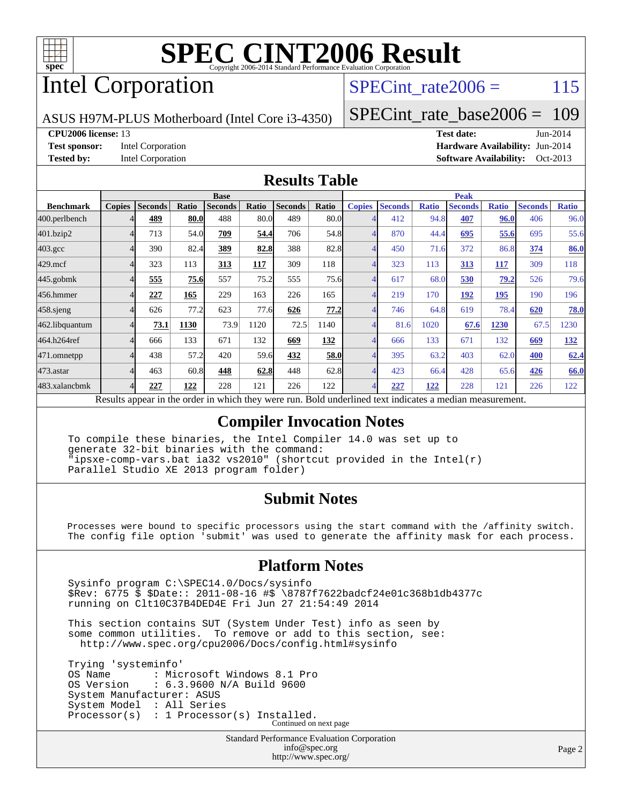

# Intel Corporation

SPECint rate $2006 = 115$ 

[SPECint\\_rate\\_base2006 =](http://www.spec.org/auto/cpu2006/Docs/result-fields.html#SPECintratebase2006) 109

ASUS H97M-PLUS Motherboard (Intel Core i3-4350)

**[CPU2006 license:](http://www.spec.org/auto/cpu2006/Docs/result-fields.html#CPU2006license)** 13 **[Test date:](http://www.spec.org/auto/cpu2006/Docs/result-fields.html#Testdate)** Jun-2014 **[Test sponsor:](http://www.spec.org/auto/cpu2006/Docs/result-fields.html#Testsponsor)** Intel Corporation **[Hardware Availability:](http://www.spec.org/auto/cpu2006/Docs/result-fields.html#HardwareAvailability)** Jun-2014 **[Tested by:](http://www.spec.org/auto/cpu2006/Docs/result-fields.html#Testedby)** Intel Corporation **[Software Availability:](http://www.spec.org/auto/cpu2006/Docs/result-fields.html#SoftwareAvailability)** Oct-2013

### **[Results Table](http://www.spec.org/auto/cpu2006/Docs/result-fields.html#ResultsTable)**

|                    | <b>Base</b>   |                |       |                |       |                | <b>Peak</b> |                |                |              |                |              |                |              |
|--------------------|---------------|----------------|-------|----------------|-------|----------------|-------------|----------------|----------------|--------------|----------------|--------------|----------------|--------------|
| <b>Benchmark</b>   | <b>Copies</b> | <b>Seconds</b> | Ratio | <b>Seconds</b> | Ratio | <b>Seconds</b> | Ratio       | <b>Copies</b>  | <b>Seconds</b> | <b>Ratio</b> | <b>Seconds</b> | <b>Ratio</b> | <b>Seconds</b> | <b>Ratio</b> |
| 400.perlbench      |               | 489            | 80.0  | 488            | 80.0  | 489            | 80.0        |                | 412            | 94.8         | 407            | 96.0         | 406            | 96.0         |
| 401.bzip2          | 4             | 713            | 54.0  | 709            | 54.4  | 706            | 54.8        | 4              | 870            | 44.4         | 695            | 55.6         | 695            | 55.6         |
| $403.\mathrm{gcc}$ | 4             | 390            | 82.4  | 389            | 82.8  | 388            | 82.8        | 4              | 450            | 71.6         | 372            | 86.8         | 374            | 86.0         |
| $429$ .mcf         | 4             | 323            | 113   | 313            | 117   | 309            | 118         |                | 323            | 113          | 313            | 117          | 309            | 118          |
| $445$ .gobm $k$    | 4             | 555            | 75.6  | 557            | 75.2  | 555            | 75.6        | $\overline{4}$ | 617            | 68.0         | 530            | 79.2         | 526            | 79.6         |
| 456.hmmer          |               | 227            | 165   | 229            | 163   | 226            | 165         |                | 219            | 170          | 192            | 195          | 190            | 196          |
| $458$ .sjeng       | 4             | 626            | 77.2  | 623            | 77.6  | 626            | 77.2        | 4              | 746            | 64.8         | 619            | 78.4         | 620            | 78.0         |
| 462.libquantum     |               | 73.1           | 1130  | 73.9           | 1120  | 72.5           | 1140        |                | 81.6           | 1020         | 67.6           | 1230         | 67.5           | 1230         |
| 464.h264ref        | 4             | 666            | 133   | 671            | 132   | 669            | 132         |                | 666            | 133          | 671            | 132          | 669            | <u>132</u>   |
| 471.omnetpp        |               | 438            | 57.2  | 420            | 59.6  | 432            | 58.0        |                | 395            | 63.2         | 403            | 62.0         | 400            | 62.4         |
| 473.astar          | 4             | 463            | 60.8  | 448            | 62.8  | 448            | 62.8        | 4              | 423            | 66.4         | 428            | 65.6         | 426            | 66.0         |
| 483.xalancbmk      | 4             | 227            | 122   | 228            | 121   | 226            | 122         | 4              | 227            | 122          | 228            | 121          | 226            | 122          |

Results appear in the [order in which they were run.](http://www.spec.org/auto/cpu2006/Docs/result-fields.html#RunOrder) Bold underlined text [indicates a median measurement.](http://www.spec.org/auto/cpu2006/Docs/result-fields.html#Median)

### **[Compiler Invocation Notes](http://www.spec.org/auto/cpu2006/Docs/result-fields.html#CompilerInvocationNotes)**

 To compile these binaries, the Intel Compiler 14.0 was set up to generate 32-bit binaries with the command: "ipsxe-comp-vars.bat ia32 vs2010" (shortcut provided in the Intel(r) Parallel Studio XE 2013 program folder)

### **[Submit Notes](http://www.spec.org/auto/cpu2006/Docs/result-fields.html#SubmitNotes)**

 Processes were bound to specific processors using the start command with the /affinity switch. The config file option 'submit' was used to generate the affinity mask for each process.

### **[Platform Notes](http://www.spec.org/auto/cpu2006/Docs/result-fields.html#PlatformNotes)**

 Sysinfo program C:\SPEC14.0/Docs/sysinfo \$Rev: 6775 \$ \$Date:: 2011-08-16 #\$ \8787f7622badcf24e01c368b1db4377c running on Clt10C37B4DED4E Fri Jun 27 21:54:49 2014

 This section contains SUT (System Under Test) info as seen by some common utilities. To remove or add to this section, see: <http://www.spec.org/cpu2006/Docs/config.html#sysinfo>

 Trying 'systeminfo' OS Name : Microsoft Windows 8.1 Pro<br>OS Version : 6.3.9600 N/A Build 9600 : 6.3.9600 N/A Build 9600 System Manufacturer: ASUS System Model : All Series Processor(s) : 1 Processor(s) Installed. Continued on next page

> Standard Performance Evaluation Corporation [info@spec.org](mailto:info@spec.org) <http://www.spec.org/>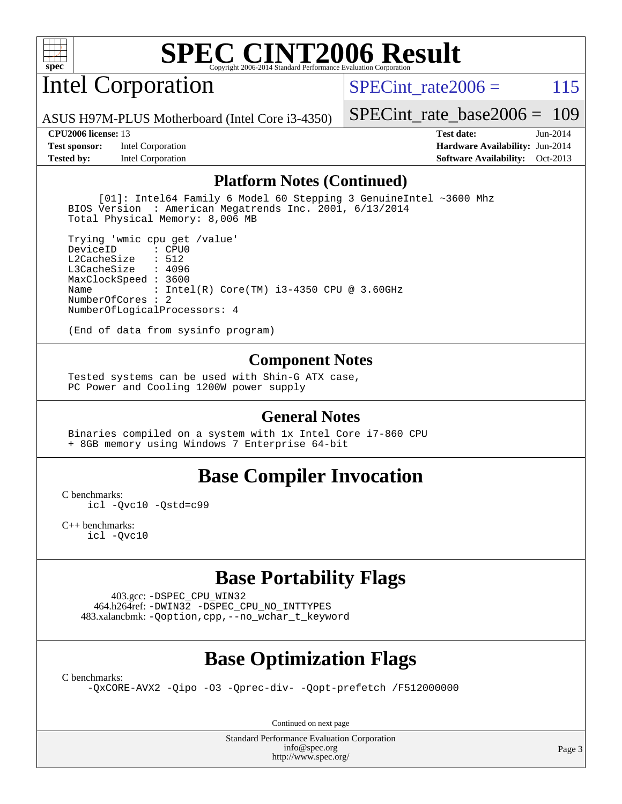

# Intel Corporation

SPECint rate $2006 = 115$ 

[SPECint\\_rate\\_base2006 =](http://www.spec.org/auto/cpu2006/Docs/result-fields.html#SPECintratebase2006) 109

ASUS H97M-PLUS Motherboard (Intel Core i3-4350)

**[Tested by:](http://www.spec.org/auto/cpu2006/Docs/result-fields.html#Testedby)** Intel Corporation **[Software Availability:](http://www.spec.org/auto/cpu2006/Docs/result-fields.html#SoftwareAvailability)** Oct-2013

**[CPU2006 license:](http://www.spec.org/auto/cpu2006/Docs/result-fields.html#CPU2006license)** 13 **[Test date:](http://www.spec.org/auto/cpu2006/Docs/result-fields.html#Testdate)** Jun-2014 **[Test sponsor:](http://www.spec.org/auto/cpu2006/Docs/result-fields.html#Testsponsor)** Intel Corporation **[Hardware Availability:](http://www.spec.org/auto/cpu2006/Docs/result-fields.html#HardwareAvailability)** Jun-2014

#### **[Platform Notes \(Continued\)](http://www.spec.org/auto/cpu2006/Docs/result-fields.html#PlatformNotes)**

 [01]: Intel64 Family 6 Model 60 Stepping 3 GenuineIntel ~3600 Mhz BIOS Version : American Megatrends Inc. 2001, 6/13/2014 Total Physical Memory: 8,006 MB

 Trying 'wmic cpu get /value' DeviceID L2CacheSize : 512 L3CacheSize : 4096 MaxClockSpeed : 3600 Name : Intel(R) Core(TM) i3-4350 CPU @ 3.60GHz NumberOfCores : 2 NumberOfLogicalProcessors: 4

(End of data from sysinfo program)

#### **[Component Notes](http://www.spec.org/auto/cpu2006/Docs/result-fields.html#ComponentNotes)**

 Tested systems can be used with Shin-G ATX case, PC Power and Cooling 1200W power supply

#### **[General Notes](http://www.spec.org/auto/cpu2006/Docs/result-fields.html#GeneralNotes)**

 Binaries compiled on a system with 1x Intel Core i7-860 CPU + 8GB memory using Windows 7 Enterprise 64-bit

### **[Base Compiler Invocation](http://www.spec.org/auto/cpu2006/Docs/result-fields.html#BaseCompilerInvocation)**

[C benchmarks](http://www.spec.org/auto/cpu2006/Docs/result-fields.html#Cbenchmarks):

[icl -Qvc10](http://www.spec.org/cpu2006/results/res2014q3/cpu2006-20140725-30601.flags.html#user_CCbase_intel_icc_vc10_9607f3ecbcdf68042245f068e51b40c1) [-Qstd=c99](http://www.spec.org/cpu2006/results/res2014q3/cpu2006-20140725-30601.flags.html#user_CCbase_intel_compiler_c99_mode_1a3d110e3041b3ad4466830521bdad2a)

[C++ benchmarks:](http://www.spec.org/auto/cpu2006/Docs/result-fields.html#CXXbenchmarks) [icl -Qvc10](http://www.spec.org/cpu2006/results/res2014q3/cpu2006-20140725-30601.flags.html#user_CXXbase_intel_icc_vc10_9607f3ecbcdf68042245f068e51b40c1)

# **[Base Portability Flags](http://www.spec.org/auto/cpu2006/Docs/result-fields.html#BasePortabilityFlags)**

 403.gcc: [-DSPEC\\_CPU\\_WIN32](http://www.spec.org/cpu2006/results/res2014q3/cpu2006-20140725-30601.flags.html#b403.gcc_baseCPORTABILITY_DSPEC_CPU_WIN32) 464.h264ref: [-DWIN32](http://www.spec.org/cpu2006/results/res2014q3/cpu2006-20140725-30601.flags.html#b464.h264ref_baseCPORTABILITY_DWIN32) [-DSPEC\\_CPU\\_NO\\_INTTYPES](http://www.spec.org/cpu2006/results/res2014q3/cpu2006-20140725-30601.flags.html#b464.h264ref_baseCPORTABILITY_DSPEC_CPU_NO_INTTYPES) 483.xalancbmk: [-Qoption,cpp,--no\\_wchar\\_t\\_keyword](http://www.spec.org/cpu2006/results/res2014q3/cpu2006-20140725-30601.flags.html#user_baseCXXPORTABILITY483_xalancbmk_f-no_wchar_t_keyword_ec0ad4495a16b4e858bfcb29d949d25d)

# **[Base Optimization Flags](http://www.spec.org/auto/cpu2006/Docs/result-fields.html#BaseOptimizationFlags)**

[C benchmarks](http://www.spec.org/auto/cpu2006/Docs/result-fields.html#Cbenchmarks):

[-QxCORE-AVX2](http://www.spec.org/cpu2006/results/res2014q3/cpu2006-20140725-30601.flags.html#user_CCbase_f-QxAVX2_f98716b5f9e905f99c943c56f21bf430) [-Qipo](http://www.spec.org/cpu2006/results/res2014q3/cpu2006-20140725-30601.flags.html#user_CCbase_f-Qipo) [-O3](http://www.spec.org/cpu2006/results/res2014q3/cpu2006-20140725-30601.flags.html#user_CCbase_f-O3) [-Qprec-div-](http://www.spec.org/cpu2006/results/res2014q3/cpu2006-20140725-30601.flags.html#user_CCbase_f-Qprec-div-) [-Qopt-prefetch](http://www.spec.org/cpu2006/results/res2014q3/cpu2006-20140725-30601.flags.html#user_CCbase_f-Qprefetch_37c211608666b9dff9380561f602f0a8) [/F512000000](http://www.spec.org/cpu2006/results/res2014q3/cpu2006-20140725-30601.flags.html#user_CCbase_set_stack_space_98438a10eb60aa5f35f4c79d9b9b27b1)

Continued on next page

Standard Performance Evaluation Corporation [info@spec.org](mailto:info@spec.org) <http://www.spec.org/>

Page 3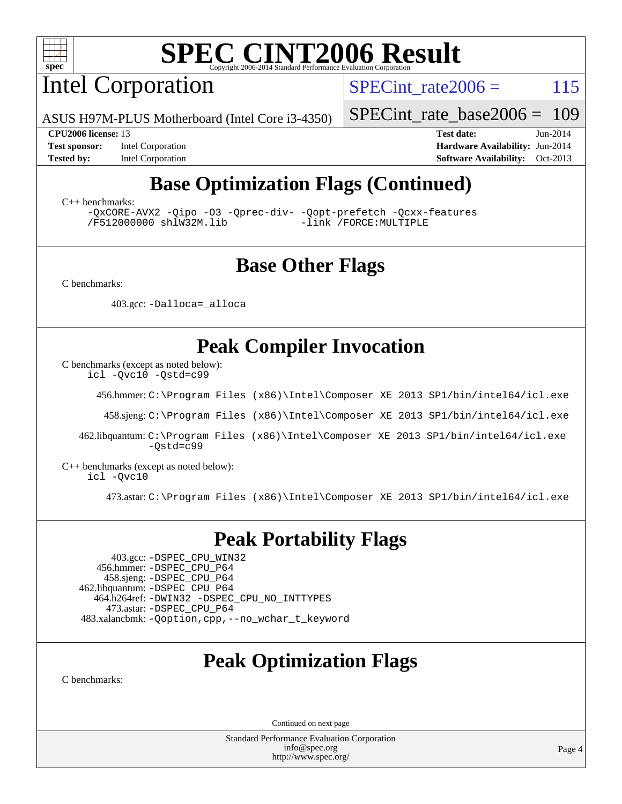

Intel Corporation

SPECint rate $2006 = 115$ 

ASUS H97M-PLUS Motherboard (Intel Core i3-4350)

[SPECint\\_rate\\_base2006 =](http://www.spec.org/auto/cpu2006/Docs/result-fields.html#SPECintratebase2006) 109

**[Test sponsor:](http://www.spec.org/auto/cpu2006/Docs/result-fields.html#Testsponsor)** Intel Corporation **[Hardware Availability:](http://www.spec.org/auto/cpu2006/Docs/result-fields.html#HardwareAvailability)** Jun-2014

**[CPU2006 license:](http://www.spec.org/auto/cpu2006/Docs/result-fields.html#CPU2006license)** 13 **[Test date:](http://www.spec.org/auto/cpu2006/Docs/result-fields.html#Testdate)** Jun-2014 **[Tested by:](http://www.spec.org/auto/cpu2006/Docs/result-fields.html#Testedby)** Intel Corporation **[Software Availability:](http://www.spec.org/auto/cpu2006/Docs/result-fields.html#SoftwareAvailability)** Oct-2013

# **[Base Optimization Flags \(Continued\)](http://www.spec.org/auto/cpu2006/Docs/result-fields.html#BaseOptimizationFlags)**

[C++ benchmarks:](http://www.spec.org/auto/cpu2006/Docs/result-fields.html#CXXbenchmarks)

[-QxCORE-AVX2](http://www.spec.org/cpu2006/results/res2014q3/cpu2006-20140725-30601.flags.html#user_CXXbase_f-QxAVX2_f98716b5f9e905f99c943c56f21bf430) [-Qipo](http://www.spec.org/cpu2006/results/res2014q3/cpu2006-20140725-30601.flags.html#user_CXXbase_f-Qipo) [-O3](http://www.spec.org/cpu2006/results/res2014q3/cpu2006-20140725-30601.flags.html#user_CXXbase_f-O3) [-Qprec-div-](http://www.spec.org/cpu2006/results/res2014q3/cpu2006-20140725-30601.flags.html#user_CXXbase_f-Qprec-div-) [-Qopt-prefetch](http://www.spec.org/cpu2006/results/res2014q3/cpu2006-20140725-30601.flags.html#user_CXXbase_f-Qprefetch_37c211608666b9dff9380561f602f0a8) [-Qcxx-features](http://www.spec.org/cpu2006/results/res2014q3/cpu2006-20140725-30601.flags.html#user_CXXbase_f-Qcxx_features_dbf36c8a6dba956e22f1645e4dcd4d98) [/F512000000](http://www.spec.org/cpu2006/results/res2014q3/cpu2006-20140725-30601.flags.html#user_CXXbase_set_stack_space_98438a10eb60aa5f35f4c79d9b9b27b1) [shlW32M.lib](http://www.spec.org/cpu2006/results/res2014q3/cpu2006-20140725-30601.flags.html#user_CXXbase_SmartHeap32_d106338dfda1a055705c9b519e07f096)

### **[Base Other Flags](http://www.spec.org/auto/cpu2006/Docs/result-fields.html#BaseOtherFlags)**

[C benchmarks](http://www.spec.org/auto/cpu2006/Docs/result-fields.html#Cbenchmarks):

403.gcc: [-Dalloca=\\_alloca](http://www.spec.org/cpu2006/results/res2014q3/cpu2006-20140725-30601.flags.html#b403.gcc_baseEXTRA_CFLAGS_Dalloca_be3056838c12de2578596ca5467af7f3)

# **[Peak Compiler Invocation](http://www.spec.org/auto/cpu2006/Docs/result-fields.html#PeakCompilerInvocation)**

[C benchmarks \(except as noted below\)](http://www.spec.org/auto/cpu2006/Docs/result-fields.html#Cbenchmarksexceptasnotedbelow):

[icl -Qvc10](http://www.spec.org/cpu2006/results/res2014q3/cpu2006-20140725-30601.flags.html#user_CCpeak_intel_icc_vc10_9607f3ecbcdf68042245f068e51b40c1) [-Qstd=c99](http://www.spec.org/cpu2006/results/res2014q3/cpu2006-20140725-30601.flags.html#user_CCpeak_intel_compiler_c99_mode_1a3d110e3041b3ad4466830521bdad2a)

456.hmmer: [C:\Program Files \(x86\)\Intel\Composer XE 2013 SP1/bin/intel64/icl.exe](http://www.spec.org/cpu2006/results/res2014q3/cpu2006-20140725-30601.flags.html#user_peakCCLD456_hmmer_intel_icc_64bit_f549ed431576093dccb075b890b96ee2)

458.sjeng: [C:\Program Files \(x86\)\Intel\Composer XE 2013 SP1/bin/intel64/icl.exe](http://www.spec.org/cpu2006/results/res2014q3/cpu2006-20140725-30601.flags.html#user_peakCCLD458_sjeng_intel_icc_64bit_f549ed431576093dccb075b890b96ee2)

 462.libquantum: [C:\Program Files \(x86\)\Intel\Composer XE 2013 SP1/bin/intel64/icl.exe](http://www.spec.org/cpu2006/results/res2014q3/cpu2006-20140725-30601.flags.html#user_peakCCLD462_libquantum_intel_icc_64bit_f549ed431576093dccb075b890b96ee2) [-Qstd=c99](http://www.spec.org/cpu2006/results/res2014q3/cpu2006-20140725-30601.flags.html#user_peakCCLD462_libquantum_intel_compiler_c99_mode_1a3d110e3041b3ad4466830521bdad2a)

[C++ benchmarks \(except as noted below\):](http://www.spec.org/auto/cpu2006/Docs/result-fields.html#CXXbenchmarksexceptasnotedbelow) [icl -Qvc10](http://www.spec.org/cpu2006/results/res2014q3/cpu2006-20140725-30601.flags.html#user_CXXpeak_intel_icc_vc10_9607f3ecbcdf68042245f068e51b40c1)

473.astar: [C:\Program Files \(x86\)\Intel\Composer XE 2013 SP1/bin/intel64/icl.exe](http://www.spec.org/cpu2006/results/res2014q3/cpu2006-20140725-30601.flags.html#user_peakCXXLD473_astar_intel_icc_64bit_f549ed431576093dccb075b890b96ee2)

### **[Peak Portability Flags](http://www.spec.org/auto/cpu2006/Docs/result-fields.html#PeakPortabilityFlags)**

 403.gcc: [-DSPEC\\_CPU\\_WIN32](http://www.spec.org/cpu2006/results/res2014q3/cpu2006-20140725-30601.flags.html#b403.gcc_peakCPORTABILITY_DSPEC_CPU_WIN32) 456.hmmer: [-DSPEC\\_CPU\\_P64](http://www.spec.org/cpu2006/results/res2014q3/cpu2006-20140725-30601.flags.html#suite_peakPORTABILITY456_hmmer_DSPEC_CPU_P64) 458.sjeng: [-DSPEC\\_CPU\\_P64](http://www.spec.org/cpu2006/results/res2014q3/cpu2006-20140725-30601.flags.html#suite_peakPORTABILITY458_sjeng_DSPEC_CPU_P64) 462.libquantum: [-DSPEC\\_CPU\\_P64](http://www.spec.org/cpu2006/results/res2014q3/cpu2006-20140725-30601.flags.html#suite_peakPORTABILITY462_libquantum_DSPEC_CPU_P64) 464.h264ref: [-DWIN32](http://www.spec.org/cpu2006/results/res2014q3/cpu2006-20140725-30601.flags.html#b464.h264ref_peakCPORTABILITY_DWIN32) [-DSPEC\\_CPU\\_NO\\_INTTYPES](http://www.spec.org/cpu2006/results/res2014q3/cpu2006-20140725-30601.flags.html#b464.h264ref_peakCPORTABILITY_DSPEC_CPU_NO_INTTYPES) 473.astar: [-DSPEC\\_CPU\\_P64](http://www.spec.org/cpu2006/results/res2014q3/cpu2006-20140725-30601.flags.html#suite_peakPORTABILITY473_astar_DSPEC_CPU_P64) 483.xalancbmk: [-Qoption,cpp,--no\\_wchar\\_t\\_keyword](http://www.spec.org/cpu2006/results/res2014q3/cpu2006-20140725-30601.flags.html#user_peakCXXPORTABILITY483_xalancbmk_f-no_wchar_t_keyword_ec0ad4495a16b4e858bfcb29d949d25d)

# **[Peak Optimization Flags](http://www.spec.org/auto/cpu2006/Docs/result-fields.html#PeakOptimizationFlags)**

[C benchmarks](http://www.spec.org/auto/cpu2006/Docs/result-fields.html#Cbenchmarks):

Continued on next page

Standard Performance Evaluation Corporation [info@spec.org](mailto:info@spec.org) <http://www.spec.org/>

Page 4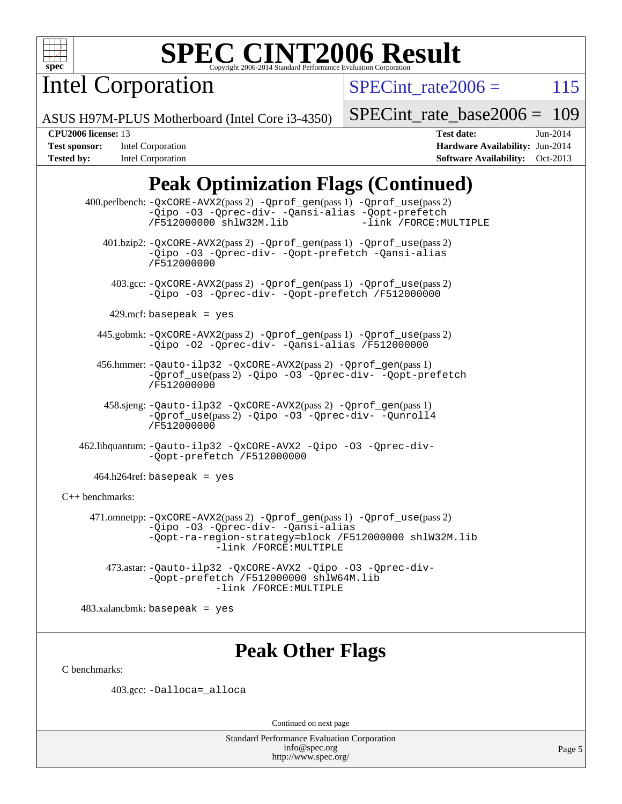

Intel Corporation

SPECint rate $2006 = 115$ 

ASUS H97M-PLUS Motherboard (Intel Core i3-4350)

[SPECint\\_rate\\_base2006 =](http://www.spec.org/auto/cpu2006/Docs/result-fields.html#SPECintratebase2006) 109

**[Test sponsor:](http://www.spec.org/auto/cpu2006/Docs/result-fields.html#Testsponsor)** Intel Corporation **[Hardware Availability:](http://www.spec.org/auto/cpu2006/Docs/result-fields.html#HardwareAvailability)** Jun-2014 **[Tested by:](http://www.spec.org/auto/cpu2006/Docs/result-fields.html#Testedby)** Intel Corporation **[Software Availability:](http://www.spec.org/auto/cpu2006/Docs/result-fields.html#SoftwareAvailability)** Oct-2013

**[CPU2006 license:](http://www.spec.org/auto/cpu2006/Docs/result-fields.html#CPU2006license)** 13 **[Test date:](http://www.spec.org/auto/cpu2006/Docs/result-fields.html#Testdate)** Jun-2014

# **[Peak Optimization Flags \(Continued\)](http://www.spec.org/auto/cpu2006/Docs/result-fields.html#PeakOptimizationFlags)**

 400.perlbench: [-QxCORE-AVX2](http://www.spec.org/cpu2006/results/res2014q3/cpu2006-20140725-30601.flags.html#user_peakPASS2_CFLAGSPASS2_LDFLAGS400_perlbench_f-QxAVX2_f98716b5f9e905f99c943c56f21bf430)(pass 2) [-Qprof\\_gen](http://www.spec.org/cpu2006/results/res2014q3/cpu2006-20140725-30601.flags.html#user_peakPASS1_CFLAGSPASS1_LDFLAGS400_perlbench_Qprof_gen)(pass 1) [-Qprof\\_use](http://www.spec.org/cpu2006/results/res2014q3/cpu2006-20140725-30601.flags.html#user_peakPASS2_CFLAGSPASS2_LDFLAGS400_perlbench_Qprof_use)(pass 2) [-Qipo](http://www.spec.org/cpu2006/results/res2014q3/cpu2006-20140725-30601.flags.html#user_peakOPTIMIZE400_perlbench_f-Qipo) [-O3](http://www.spec.org/cpu2006/results/res2014q3/cpu2006-20140725-30601.flags.html#user_peakOPTIMIZE400_perlbench_f-O3) [-Qprec-div-](http://www.spec.org/cpu2006/results/res2014q3/cpu2006-20140725-30601.flags.html#user_peakOPTIMIZE400_perlbench_f-Qprec-div-) [-Qansi-alias](http://www.spec.org/cpu2006/results/res2014q3/cpu2006-20140725-30601.flags.html#user_peakOPTIMIZE400_perlbench_f-Qansi-alias) [-Qopt-prefetch](http://www.spec.org/cpu2006/results/res2014q3/cpu2006-20140725-30601.flags.html#user_peakOPTIMIZE400_perlbench_f-Qprefetch_37c211608666b9dff9380561f602f0a8) [/F512000000](http://www.spec.org/cpu2006/results/res2014q3/cpu2006-20140725-30601.flags.html#user_peakEXTRA_LDFLAGS400_perlbench_set_stack_space_98438a10eb60aa5f35f4c79d9b9b27b1) [shlW32M.lib](http://www.spec.org/cpu2006/results/res2014q3/cpu2006-20140725-30601.flags.html#user_peakEXTRA_LIBS400_perlbench_SmartHeap32_d106338dfda1a055705c9b519e07f096) 401.bzip2: [-QxCORE-AVX2](http://www.spec.org/cpu2006/results/res2014q3/cpu2006-20140725-30601.flags.html#user_peakPASS2_CFLAGSPASS2_LDFLAGS401_bzip2_f-QxAVX2_f98716b5f9e905f99c943c56f21bf430)(pass 2) [-Qprof\\_gen](http://www.spec.org/cpu2006/results/res2014q3/cpu2006-20140725-30601.flags.html#user_peakPASS1_CFLAGSPASS1_LDFLAGS401_bzip2_Qprof_gen)(pass 1) [-Qprof\\_use](http://www.spec.org/cpu2006/results/res2014q3/cpu2006-20140725-30601.flags.html#user_peakPASS2_CFLAGSPASS2_LDFLAGS401_bzip2_Qprof_use)(pass 2) [-Qipo](http://www.spec.org/cpu2006/results/res2014q3/cpu2006-20140725-30601.flags.html#user_peakOPTIMIZE401_bzip2_f-Qipo) [-O3](http://www.spec.org/cpu2006/results/res2014q3/cpu2006-20140725-30601.flags.html#user_peakOPTIMIZE401_bzip2_f-O3) [-Qprec-div-](http://www.spec.org/cpu2006/results/res2014q3/cpu2006-20140725-30601.flags.html#user_peakOPTIMIZE401_bzip2_f-Qprec-div-) [-Qopt-prefetch](http://www.spec.org/cpu2006/results/res2014q3/cpu2006-20140725-30601.flags.html#user_peakOPTIMIZE401_bzip2_f-Qprefetch_37c211608666b9dff9380561f602f0a8) [-Qansi-alias](http://www.spec.org/cpu2006/results/res2014q3/cpu2006-20140725-30601.flags.html#user_peakOPTIMIZE401_bzip2_f-Qansi-alias) [/F512000000](http://www.spec.org/cpu2006/results/res2014q3/cpu2006-20140725-30601.flags.html#user_peakEXTRA_LDFLAGS401_bzip2_set_stack_space_98438a10eb60aa5f35f4c79d9b9b27b1) 403.gcc: [-QxCORE-AVX2](http://www.spec.org/cpu2006/results/res2014q3/cpu2006-20140725-30601.flags.html#user_peakPASS2_CFLAGSPASS2_LDFLAGS403_gcc_f-QxAVX2_f98716b5f9e905f99c943c56f21bf430)(pass 2) [-Qprof\\_gen](http://www.spec.org/cpu2006/results/res2014q3/cpu2006-20140725-30601.flags.html#user_peakPASS1_CFLAGSPASS1_LDFLAGS403_gcc_Qprof_gen)(pass 1) [-Qprof\\_use](http://www.spec.org/cpu2006/results/res2014q3/cpu2006-20140725-30601.flags.html#user_peakPASS2_CFLAGSPASS2_LDFLAGS403_gcc_Qprof_use)(pass 2) [-Qipo](http://www.spec.org/cpu2006/results/res2014q3/cpu2006-20140725-30601.flags.html#user_peakOPTIMIZE403_gcc_f-Qipo) [-O3](http://www.spec.org/cpu2006/results/res2014q3/cpu2006-20140725-30601.flags.html#user_peakOPTIMIZE403_gcc_f-O3) [-Qprec-div-](http://www.spec.org/cpu2006/results/res2014q3/cpu2006-20140725-30601.flags.html#user_peakOPTIMIZE403_gcc_f-Qprec-div-) [-Qopt-prefetch](http://www.spec.org/cpu2006/results/res2014q3/cpu2006-20140725-30601.flags.html#user_peakOPTIMIZE403_gcc_f-Qprefetch_37c211608666b9dff9380561f602f0a8) [/F512000000](http://www.spec.org/cpu2006/results/res2014q3/cpu2006-20140725-30601.flags.html#user_peakEXTRA_LDFLAGS403_gcc_set_stack_space_98438a10eb60aa5f35f4c79d9b9b27b1)  $429$ .mcf: basepeak = yes 445.gobmk: [-QxCORE-AVX2](http://www.spec.org/cpu2006/results/res2014q3/cpu2006-20140725-30601.flags.html#user_peakPASS2_CFLAGSPASS2_LDFLAGS445_gobmk_f-QxAVX2_f98716b5f9e905f99c943c56f21bf430)(pass 2) [-Qprof\\_gen](http://www.spec.org/cpu2006/results/res2014q3/cpu2006-20140725-30601.flags.html#user_peakPASS1_CFLAGSPASS1_LDFLAGS445_gobmk_Qprof_gen)(pass 1) [-Qprof\\_use](http://www.spec.org/cpu2006/results/res2014q3/cpu2006-20140725-30601.flags.html#user_peakPASS2_CFLAGSPASS2_LDFLAGS445_gobmk_Qprof_use)(pass 2) [-Qipo](http://www.spec.org/cpu2006/results/res2014q3/cpu2006-20140725-30601.flags.html#user_peakOPTIMIZE445_gobmk_f-Qipo) [-O2](http://www.spec.org/cpu2006/results/res2014q3/cpu2006-20140725-30601.flags.html#user_peakOPTIMIZE445_gobmk_f-O2) [-Qprec-div-](http://www.spec.org/cpu2006/results/res2014q3/cpu2006-20140725-30601.flags.html#user_peakOPTIMIZE445_gobmk_f-Qprec-div-) [-Qansi-alias](http://www.spec.org/cpu2006/results/res2014q3/cpu2006-20140725-30601.flags.html#user_peakOPTIMIZE445_gobmk_f-Qansi-alias) [/F512000000](http://www.spec.org/cpu2006/results/res2014q3/cpu2006-20140725-30601.flags.html#user_peakEXTRA_LDFLAGS445_gobmk_set_stack_space_98438a10eb60aa5f35f4c79d9b9b27b1) 456.hmmer: [-Qauto-ilp32](http://www.spec.org/cpu2006/results/res2014q3/cpu2006-20140725-30601.flags.html#user_peakCCLD456_hmmer_f-Qauto-ilp32) [-QxCORE-AVX2](http://www.spec.org/cpu2006/results/res2014q3/cpu2006-20140725-30601.flags.html#user_peakPASS2_CFLAGSPASS2_LDFLAGS456_hmmer_f-QxAVX2_f98716b5f9e905f99c943c56f21bf430)(pass 2) [-Qprof\\_gen](http://www.spec.org/cpu2006/results/res2014q3/cpu2006-20140725-30601.flags.html#user_peakPASS1_CFLAGSPASS1_LDFLAGS456_hmmer_Qprof_gen)(pass 1) [-Qprof\\_use](http://www.spec.org/cpu2006/results/res2014q3/cpu2006-20140725-30601.flags.html#user_peakPASS2_CFLAGSPASS2_LDFLAGS456_hmmer_Qprof_use)(pass 2) [-Qipo](http://www.spec.org/cpu2006/results/res2014q3/cpu2006-20140725-30601.flags.html#user_peakOPTIMIZE456_hmmer_f-Qipo) [-O3](http://www.spec.org/cpu2006/results/res2014q3/cpu2006-20140725-30601.flags.html#user_peakOPTIMIZE456_hmmer_f-O3) [-Qprec-div-](http://www.spec.org/cpu2006/results/res2014q3/cpu2006-20140725-30601.flags.html#user_peakOPTIMIZE456_hmmer_f-Qprec-div-) [-Qopt-prefetch](http://www.spec.org/cpu2006/results/res2014q3/cpu2006-20140725-30601.flags.html#user_peakOPTIMIZE456_hmmer_f-Qprefetch_37c211608666b9dff9380561f602f0a8) [/F512000000](http://www.spec.org/cpu2006/results/res2014q3/cpu2006-20140725-30601.flags.html#user_peakEXTRA_LDFLAGS456_hmmer_set_stack_space_98438a10eb60aa5f35f4c79d9b9b27b1) 458.sjeng: [-Qauto-ilp32](http://www.spec.org/cpu2006/results/res2014q3/cpu2006-20140725-30601.flags.html#user_peakCCLD458_sjeng_f-Qauto-ilp32) [-QxCORE-AVX2](http://www.spec.org/cpu2006/results/res2014q3/cpu2006-20140725-30601.flags.html#user_peakPASS2_CFLAGSPASS2_LDFLAGS458_sjeng_f-QxAVX2_f98716b5f9e905f99c943c56f21bf430)(pass 2) [-Qprof\\_gen](http://www.spec.org/cpu2006/results/res2014q3/cpu2006-20140725-30601.flags.html#user_peakPASS1_CFLAGSPASS1_LDFLAGS458_sjeng_Qprof_gen)(pass 1) [-Qprof\\_use](http://www.spec.org/cpu2006/results/res2014q3/cpu2006-20140725-30601.flags.html#user_peakPASS2_CFLAGSPASS2_LDFLAGS458_sjeng_Qprof_use)(pass 2) [-Qipo](http://www.spec.org/cpu2006/results/res2014q3/cpu2006-20140725-30601.flags.html#user_peakOPTIMIZE458_sjeng_f-Qipo) [-O3](http://www.spec.org/cpu2006/results/res2014q3/cpu2006-20140725-30601.flags.html#user_peakOPTIMIZE458_sjeng_f-O3) [-Qprec-div-](http://www.spec.org/cpu2006/results/res2014q3/cpu2006-20140725-30601.flags.html#user_peakOPTIMIZE458_sjeng_f-Qprec-div-) [-Qunroll4](http://www.spec.org/cpu2006/results/res2014q3/cpu2006-20140725-30601.flags.html#user_peakOPTIMIZE458_sjeng_f-Qunroll_013b1c0ea3aa84ef2c65e488bcc3d968) [/F512000000](http://www.spec.org/cpu2006/results/res2014q3/cpu2006-20140725-30601.flags.html#user_peakEXTRA_LDFLAGS458_sjeng_set_stack_space_98438a10eb60aa5f35f4c79d9b9b27b1) 462.libquantum: [-Qauto-ilp32](http://www.spec.org/cpu2006/results/res2014q3/cpu2006-20140725-30601.flags.html#user_peakCCLD462_libquantum_f-Qauto-ilp32) [-QxCORE-AVX2](http://www.spec.org/cpu2006/results/res2014q3/cpu2006-20140725-30601.flags.html#user_peakOPTIMIZE462_libquantum_f-QxAVX2_f98716b5f9e905f99c943c56f21bf430) [-Qipo](http://www.spec.org/cpu2006/results/res2014q3/cpu2006-20140725-30601.flags.html#user_peakOPTIMIZE462_libquantum_f-Qipo) [-O3](http://www.spec.org/cpu2006/results/res2014q3/cpu2006-20140725-30601.flags.html#user_peakOPTIMIZE462_libquantum_f-O3) [-Qprec-div-](http://www.spec.org/cpu2006/results/res2014q3/cpu2006-20140725-30601.flags.html#user_peakOPTIMIZE462_libquantum_f-Qprec-div-) [-Qopt-prefetch](http://www.spec.org/cpu2006/results/res2014q3/cpu2006-20140725-30601.flags.html#user_peakOPTIMIZE462_libquantum_f-Qprefetch_37c211608666b9dff9380561f602f0a8) [/F512000000](http://www.spec.org/cpu2006/results/res2014q3/cpu2006-20140725-30601.flags.html#user_peakEXTRA_LDFLAGS462_libquantum_set_stack_space_98438a10eb60aa5f35f4c79d9b9b27b1)  $464.h264$ ref: basepeak = yes [C++ benchmarks:](http://www.spec.org/auto/cpu2006/Docs/result-fields.html#CXXbenchmarks) 471.omnetpp: [-QxCORE-AVX2](http://www.spec.org/cpu2006/results/res2014q3/cpu2006-20140725-30601.flags.html#user_peakPASS2_CXXFLAGSPASS2_LDFLAGS471_omnetpp_f-QxAVX2_f98716b5f9e905f99c943c56f21bf430)(pass 2) [-Qprof\\_gen](http://www.spec.org/cpu2006/results/res2014q3/cpu2006-20140725-30601.flags.html#user_peakPASS1_CXXFLAGSPASS1_LDFLAGS471_omnetpp_Qprof_gen)(pass 1) [-Qprof\\_use](http://www.spec.org/cpu2006/results/res2014q3/cpu2006-20140725-30601.flags.html#user_peakPASS2_CXXFLAGSPASS2_LDFLAGS471_omnetpp_Qprof_use)(pass 2) [-Qipo](http://www.spec.org/cpu2006/results/res2014q3/cpu2006-20140725-30601.flags.html#user_peakOPTIMIZE471_omnetpp_f-Qipo) [-O3](http://www.spec.org/cpu2006/results/res2014q3/cpu2006-20140725-30601.flags.html#user_peakOPTIMIZE471_omnetpp_f-O3) [-Qprec-div-](http://www.spec.org/cpu2006/results/res2014q3/cpu2006-20140725-30601.flags.html#user_peakOPTIMIZE471_omnetpp_f-Qprec-div-) [-Qansi-alias](http://www.spec.org/cpu2006/results/res2014q3/cpu2006-20140725-30601.flags.html#user_peakOPTIMIZE471_omnetpp_f-Qansi-alias) [-Qopt-ra-region-strategy=block](http://www.spec.org/cpu2006/results/res2014q3/cpu2006-20140725-30601.flags.html#user_peakOPTIMIZE471_omnetpp_f-Qopt-ra-region-strategy_d2240e80a5d9053a1fd400255dbf4159) [/F512000000](http://www.spec.org/cpu2006/results/res2014q3/cpu2006-20140725-30601.flags.html#user_peakEXTRA_LDFLAGS471_omnetpp_set_stack_space_98438a10eb60aa5f35f4c79d9b9b27b1) [shlW32M.lib](http://www.spec.org/cpu2006/results/res2014q3/cpu2006-20140725-30601.flags.html#user_peakEXTRA_LIBS471_omnetpp_SmartHeap32_d106338dfda1a055705c9b519e07f096)  [-link /FORCE:MULTIPLE](http://www.spec.org/cpu2006/results/res2014q3/cpu2006-20140725-30601.flags.html#user_peakLDOUT471_omnetpp_link_force_multiple2_070fe330869edf77077b841074b8b0b6) 473.astar: [-Qauto-ilp32](http://www.spec.org/cpu2006/results/res2014q3/cpu2006-20140725-30601.flags.html#user_peakCXXLD473_astar_f-Qauto-ilp32) [-QxCORE-AVX2](http://www.spec.org/cpu2006/results/res2014q3/cpu2006-20140725-30601.flags.html#user_peakOPTIMIZE473_astar_f-QxAVX2_f98716b5f9e905f99c943c56f21bf430) [-Qipo](http://www.spec.org/cpu2006/results/res2014q3/cpu2006-20140725-30601.flags.html#user_peakOPTIMIZE473_astar_f-Qipo) [-O3](http://www.spec.org/cpu2006/results/res2014q3/cpu2006-20140725-30601.flags.html#user_peakOPTIMIZE473_astar_f-O3) [-Qprec-div-](http://www.spec.org/cpu2006/results/res2014q3/cpu2006-20140725-30601.flags.html#user_peakOPTIMIZE473_astar_f-Qprec-div-) [-Qopt-prefetch](http://www.spec.org/cpu2006/results/res2014q3/cpu2006-20140725-30601.flags.html#user_peakOPTIMIZE473_astar_f-Qprefetch_37c211608666b9dff9380561f602f0a8) [/F512000000](http://www.spec.org/cpu2006/results/res2014q3/cpu2006-20140725-30601.flags.html#user_peakEXTRA_LDFLAGS473_astar_set_stack_space_98438a10eb60aa5f35f4c79d9b9b27b1) [shlW64M.lib](http://www.spec.org/cpu2006/results/res2014q3/cpu2006-20140725-30601.flags.html#user_peakEXTRA_LIBS473_astar_SmartHeap64_c4f7f76711bdf8c0633a5c1edf6e5396)

 [-link /FORCE:MULTIPLE](http://www.spec.org/cpu2006/results/res2014q3/cpu2006-20140725-30601.flags.html#user_peakLDOUT473_astar_link_force_multiple2_070fe330869edf77077b841074b8b0b6)

483.xalancbmk: basepeak = yes

# **[Peak Other Flags](http://www.spec.org/auto/cpu2006/Docs/result-fields.html#PeakOtherFlags)**

[C benchmarks](http://www.spec.org/auto/cpu2006/Docs/result-fields.html#Cbenchmarks):

403.gcc: [-Dalloca=\\_alloca](http://www.spec.org/cpu2006/results/res2014q3/cpu2006-20140725-30601.flags.html#b403.gcc_peakEXTRA_CFLAGS_Dalloca_be3056838c12de2578596ca5467af7f3)

Continued on next page

Standard Performance Evaluation Corporation [info@spec.org](mailto:info@spec.org) <http://www.spec.org/>